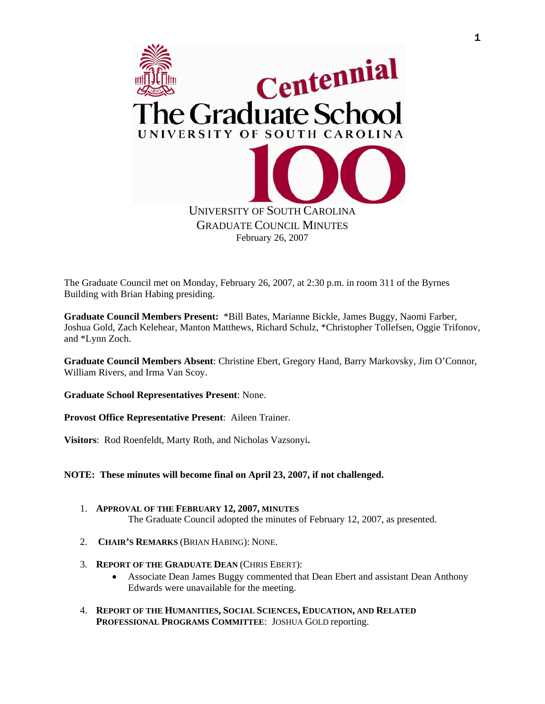

The Graduate Council met on Monday, February 26, 2007, at 2:30 p.m. in room 311 of the Byrnes Building with Brian Habing presiding.

**Graduate Council Members Present:** \*Bill Bates, Marianne Bickle, James Buggy, Naomi Farber, Joshua Gold, Zach Kelehear, Manton Matthews, Richard Schulz, \*Christopher Tollefsen, Oggie Trifonov, and \*Lynn Zoch.

**Graduate Council Members Absent**: Christine Ebert, Gregory Hand, Barry Markovsky, Jim O'Connor, William Rivers, and Irma Van Scoy.

**Graduate School Representatives Present**: None.

**Provost Office Representative Present**: Aileen Trainer.

**Visitors**: Rod Roenfeldt, Marty Roth, and Nicholas Vazsonyi.

**NOTE: These minutes will become final on April 23, 2007, if not challenged.**

- 1. **APPROVAL OF THE FEBRUARY 12, 2007, MINUTES** The Graduate Council adopted the minutes of February 12, 2007, as presented.
- 2. **CHAIR'S REMARKS** (BRIAN HABING): NONE.
- 3. **REPORT OF THE GRADUATE DEAN** (CHRIS EBERT):
	- Associate Dean James Buggy commented that Dean Ebert and assistant Dean Anthony Edwards were unavailable for the meeting.
- 4. **REPORT OF THE HUMANITIES, SOCIAL SCIENCES, EDUCATION, AND RELATED PROFESSIONAL PROGRAMS COMMITTEE**: JOSHUA GOLD reporting.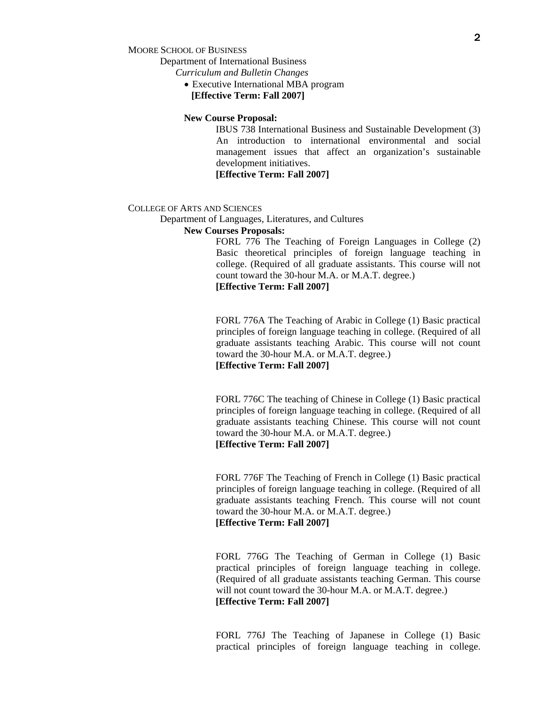MOORE SCHOOL OF BUSINESS

Department of International Business

*Curriculum and Bulletin Changes* 

• Executive International MBA program **[Effective Term: Fall 2007]** 

#### **New Course Proposal:**

IBUS 738 International Business and Sustainable Development (3) An introduction to international environmental and social management issues that affect an organization's sustainable development initiatives.

**[Effective Term: Fall 2007]** 

#### COLLEGE OF ARTS AND SCIENCES

Department of Languages, Literatures, and Cultures

# **New Courses Proposals:**

FORL 776 The Teaching of Foreign Languages in College (2) Basic theoretical principles of foreign language teaching in college. (Required of all graduate assistants. This course will not count toward the 30-hour M.A. or M.A.T. degree.) **[Effective Term: Fall 2007]** 

 FORL 776A The Teaching of Arabic in College (1) Basic practical principles of foreign language teaching in college. (Required of all graduate assistants teaching Arabic. This course will not count toward the 30-hour M.A. or M.A.T. degree.) **[Effective Term: Fall 2007]** 

 FORL 776C The teaching of Chinese in College (1) Basic practical principles of foreign language teaching in college. (Required of all graduate assistants teaching Chinese. This course will not count toward the 30-hour M.A. or M.A.T. degree.)  **[Effective Term: Fall 2007]** 

 FORL 776F The Teaching of French in College (1) Basic practical principles of foreign language teaching in college. (Required of all graduate assistants teaching French. This course will not count toward the 30-hour M.A. or M.A.T. degree.)  **[Effective Term: Fall 2007]** 

 FORL 776G The Teaching of German in College (1) Basic practical principles of foreign language teaching in college. (Required of all graduate assistants teaching German. This course will not count toward the 30-hour M.A. or M.A.T. degree.)  **[Effective Term: Fall 2007]** 

 FORL 776J The Teaching of Japanese in College (1) Basic practical principles of foreign language teaching in college.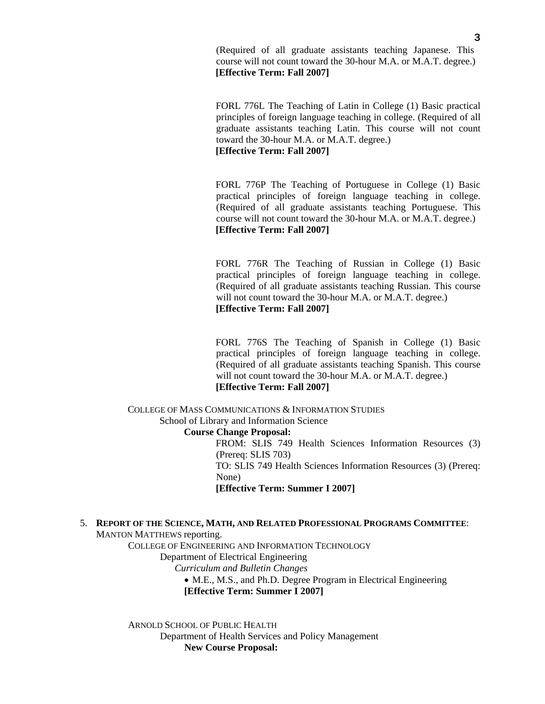(Required of all graduate assistants teaching Japanese. This course will not count toward the 30-hour M.A. or M.A.T. degree.)  **[Effective Term: Fall 2007]** 

 FORL 776L The Teaching of Latin in College (1) Basic practical principles of foreign language teaching in college. (Required of all graduate assistants teaching Latin. This course will not count toward the 30-hour M.A. or M.A.T. degree.)  **[Effective Term: Fall 2007]** 

 FORL 776P The Teaching of Portuguese in College (1) Basic practical principles of foreign language teaching in college. (Required of all graduate assistants teaching Portuguese. This course will not count toward the 30-hour M.A. or M.A.T. degree.)  **[Effective Term: Fall 2007]** 

 FORL 776R The Teaching of Russian in College (1) Basic practical principles of foreign language teaching in college. (Required of all graduate assistants teaching Russian. This course will not count toward the 30-hour M.A. or M.A.T. degree.) **[Effective Term: Fall 2007]** 

 FORL 776S The Teaching of Spanish in College (1) Basic practical principles of foreign language teaching in college. (Required of all graduate assistants teaching Spanish. This course will not count toward the 30-hour M.A. or M.A.T. degree.) **[Effective Term: Fall 2007]** 

 COLLEGE OF MASS COMMUNICATIONS & INFORMATION STUDIES School of Library and Information Science **Course Change Proposal:**  FROM: SLIS 749 Health Sciences Information Resources (3) (Prereq: SLIS 703) TO: SLIS 749 Health Sciences Information Resources (3) (Prereq:

None)

**[Effective Term: Summer I 2007]** 

5. **REPORT OF THE SCIENCE, MATH, AND RELATED PROFESSIONAL PROGRAMS COMMITTEE**: MANTON MATTHEWS reporting.

COLLEGE OF ENGINEERING AND INFORMATION TECHNOLOGY

Department of Electrical Engineering

*Curriculum and Bulletin Changes* 

• M.E., M.S., and Ph.D. Degree Program in Electrical Engineering

**[Effective Term: Summer I 2007]** 

ARNOLD SCHOOL OF PUBLIC HEALTH Department of Health Services and Policy Management  **New Course Proposal:**